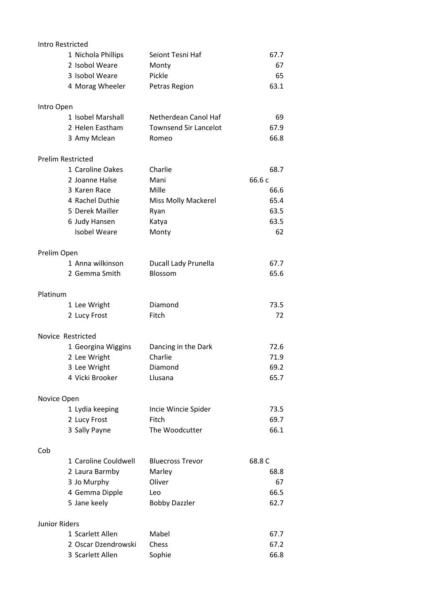|                      | Intro Restricted         |                              |        |
|----------------------|--------------------------|------------------------------|--------|
|                      | 1 Nichola Phillips       | Seiont Tesni Haf             | 67.7   |
|                      | 2 Isobol Weare           | Monty                        | 67     |
|                      | 3 Isobol Weare           | Pickle                       | 65     |
|                      | 4 Morag Wheeler          | Petras Region                | 63.1   |
| Intro Open           |                          |                              |        |
|                      | 1 Isobel Marshall        | Netherdean Canol Haf         | 69     |
|                      | 2 Helen Eastham          | <b>Townsend Sir Lancelot</b> | 67.9   |
|                      | 3 Amy Mclean             | Romeo                        | 66.8   |
|                      | <b>Prelim Restricted</b> |                              |        |
|                      | 1 Caroline Oakes         | Charlie                      | 68.7   |
|                      | 2 Joanne Halse           | Mani                         | 66.6 c |
|                      | 3 Karen Race             | Mille                        | 66.6   |
|                      | 4 Rachel Duthie          | <b>Miss Molly Mackerel</b>   | 65.4   |
|                      | 5 Derek Mailler          | Ryan                         | 63.5   |
|                      | 6 Judy Hansen            | Katya                        | 63.5   |
|                      | <b>Isobel Weare</b>      | Monty                        | 62     |
| Prelim Open          |                          |                              |        |
|                      | 1 Anna wilkinson         | Ducall Lady Prunella         | 67.7   |
|                      | 2 Gemma Smith            | Blossom                      | 65.6   |
| Platinum             |                          |                              |        |
|                      | 1 Lee Wright             | Diamond                      | 73.5   |
|                      | 2 Lucy Frost             | Fitch                        | 72     |
|                      | Novice Restricted        |                              |        |
|                      | 1 Georgina Wiggins       | Dancing in the Dark          | 72.6   |
|                      | 2 Lee Wright             | Charlie                      | 71.9   |
|                      | 3 Lee Wright             | Diamond                      | 69.2   |
|                      | 4 Vicki Brooker          | Llusana                      | 65.7   |
| Novice Open          |                          |                              |        |
|                      | 1 Lydia keeping          | Incie Wincie Spider          | 73.5   |
|                      | 2 Lucy Frost             | Fitch                        | 69.7   |
|                      | 3 Sally Payne            | The Woodcutter               | 66.1   |
| Cob                  |                          |                              |        |
|                      | 1 Caroline Couldwell     | <b>Bluecross Trevor</b>      | 68.8 C |
|                      | 2 Laura Barmby           | Marley                       | 68.8   |
|                      | 3 Jo Murphy              | Oliver                       | 67     |
|                      | 4 Gemma Dipple           | Leo                          | 66.5   |
|                      | 5 Jane keely             | <b>Bobby Dazzler</b>         | 62.7   |
| <b>Junior Riders</b> |                          |                              |        |
|                      | 1 Scarlett Allen         | Mabel                        | 67.7   |
|                      | 2 Oscar Dzendrowski      | Chess                        | 67.2   |
|                      | 3 Scarlett Allen         | Sophie                       | 66.8   |
|                      |                          |                              |        |